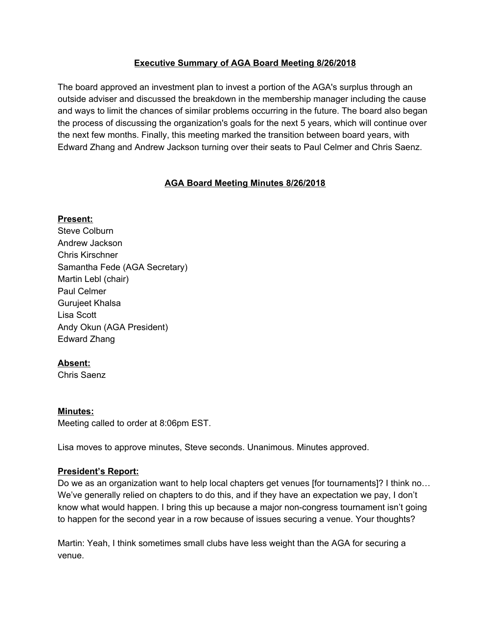# **Executive Summary of AGA Board Meeting 8/26/2018**

The board approved an investment plan to invest a portion of the AGA's surplus through an outside adviser and discussed the breakdown in the membership manager including the cause and ways to limit the chances of similar problems occurring in the future. The board also began the process of discussing the organization's goals for the next 5 years, which will continue over the next few months. Finally, this meeting marked the transition between board years, with Edward Zhang and Andrew Jackson turning over their seats to Paul Celmer and Chris Saenz.

# **AGA Board Meeting Minutes 8/26/2018**

### **Present:**

Steve Colburn Andrew Jackson Chris Kirschner Samantha Fede (AGA Secretary) Martin Lebl (chair) Paul Celmer Gurujeet Khalsa Lisa Scott Andy Okun (AGA President) Edward Zhang

# **Absent:**

Chris Saenz

### **Minutes:**

Meeting called to order at 8:06pm EST.

Lisa moves to approve minutes, Steve seconds. Unanimous. Minutes approved.

# **President's Report:**

Do we as an organization want to help local chapters get venues [for tournaments]? I think no... We've generally relied on chapters to do this, and if they have an expectation we pay, I don't know what would happen. I bring this up because a major non-congress tournament isn't going to happen for the second year in a row because of issues securing a venue. Your thoughts?

Martin: Yeah, I think sometimes small clubs have less weight than the AGA for securing a venue.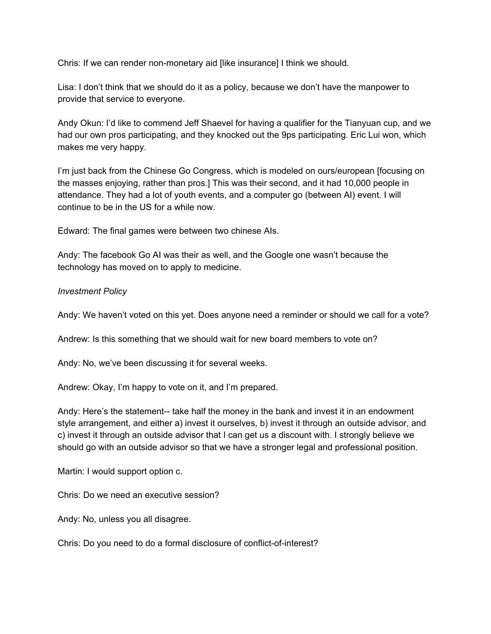Chris: If we can render non-monetary aid [like insurance] I think we should.

Lisa: I don't think that we should do it as a policy, because we don't have the manpower to provide that service to everyone.

Andy Okun: I'd like to commend Jeff Shaevel for having a qualifier for the Tianyuan cup, and we had our own pros participating, and they knocked out the 9ps participating. Eric Lui won, which makes me very happy.

I'm just back from the Chinese Go Congress, which is modeled on ours/european [focusing on the masses enjoying, rather than pros.] This was their second, and it had 10,000 people in attendance. They had a lot of youth events, and a computer go (between AI) event. I will continue to be in the US for a while now.

Edward: The final games were between two chinese AIs.

Andy: The facebook Go AI was their as well, and the Google one wasn't because the technology has moved on to apply to medicine.

#### *Investment Policy*

Andy: We haven't voted on this yet. Does anyone need a reminder or should we call for a vote?

Andrew: Is this something that we should wait for new board members to vote on?

Andy: No, we've been discussing it for several weeks.

Andrew: Okay, I'm happy to vote on it, and I'm prepared.

Andy: Here's the statement-- take half the money in the bank and invest it in an endowment style arrangement, and either a) invest it ourselves, b) invest it through an outside advisor, and c) invest it through an outside advisor that I can get us a discount with. I strongly believe we should go with an outside advisor so that we have a stronger legal and professional position.

Martin: I would support option c.

Chris: Do we need an executive session?

Andy: No, unless you all disagree.

Chris: Do you need to do a formal disclosure of conflict-of-interest?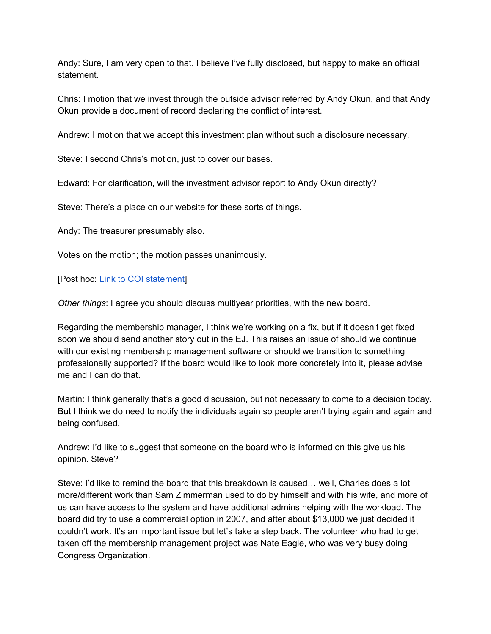Andy: Sure, I am very open to that. I believe I've fully disclosed, but happy to make an official statement.

Chris: I motion that we invest through the outside advisor referred by Andy Okun, and that Andy Okun provide a document of record declaring the conflict of interest.

Andrew: I motion that we accept this investment plan without such a disclosure necessary.

Steve: I second Chris's motion, just to cover our bases.

Edward: For clarification, will the investment advisor report to Andy Okun directly?

Steve: There's a place on our website for these sorts of things.

Andy: The treasurer presumably also.

Votes on the motion; the motion passes unanimously.

[Post hoc: Link to COI [statement](https://drive.google.com/file/d/0Bx42jaUjJKrQZ0pzZzlkYWw5am1XUWFyd3VJd3NTNWxCX2hF/view?usp=sharing)]

*Other things*: I agree you should discuss multiyear priorities, with the new board.

Regarding the membership manager, I think we're working on a fix, but if it doesn't get fixed soon we should send another story out in the EJ. This raises an issue of should we continue with our existing membership management software or should we transition to something professionally supported? If the board would like to look more concretely into it, please advise me and I can do that.

Martin: I think generally that's a good discussion, but not necessary to come to a decision today. But I think we do need to notify the individuals again so people aren't trying again and again and being confused.

Andrew: I'd like to suggest that someone on the board who is informed on this give us his opinion. Steve?

Steve: I'd like to remind the board that this breakdown is caused… well, Charles does a lot more/different work than Sam Zimmerman used to do by himself and with his wife, and more of us can have access to the system and have additional admins helping with the workload. The board did try to use a commercial option in 2007, and after about \$13,000 we just decided it couldn't work. It's an important issue but let's take a step back. The volunteer who had to get taken off the membership management project was Nate Eagle, who was very busy doing Congress Organization.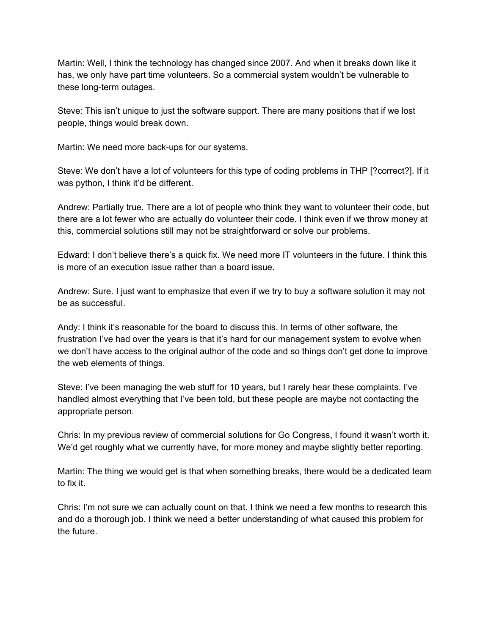Martin: Well, I think the technology has changed since 2007. And when it breaks down like it has, we only have part time volunteers. So a commercial system wouldn't be vulnerable to these long-term outages.

Steve: This isn't unique to just the software support. There are many positions that if we lost people, things would break down.

Martin: We need more back-ups for our systems.

Steve: We don't have a lot of volunteers for this type of coding problems in THP [?correct?]. If it was python, I think it'd be different.

Andrew: Partially true. There are a lot of people who think they want to volunteer their code, but there are a lot fewer who are actually do volunteer their code. I think even if we throw money at this, commercial solutions still may not be straightforward or solve our problems.

Edward: I don't believe there's a quick fix. We need more IT volunteers in the future. I think this is more of an execution issue rather than a board issue.

Andrew: Sure. I just want to emphasize that even if we try to buy a software solution it may not be as successful.

Andy: I think it's reasonable for the board to discuss this. In terms of other software, the frustration I've had over the years is that it's hard for our management system to evolve when we don't have access to the original author of the code and so things don't get done to improve the web elements of things.

Steve: I've been managing the web stuff for 10 years, but I rarely hear these complaints. I've handled almost everything that I've been told, but these people are maybe not contacting the appropriate person.

Chris: In my previous review of commercial solutions for Go Congress, I found it wasn't worth it. We'd get roughly what we currently have, for more money and maybe slightly better reporting.

Martin: The thing we would get is that when something breaks, there would be a dedicated team to fix it.

Chris: I'm not sure we can actually count on that. I think we need a few months to research this and do a thorough job. I think we need a better understanding of what caused this problem for the future.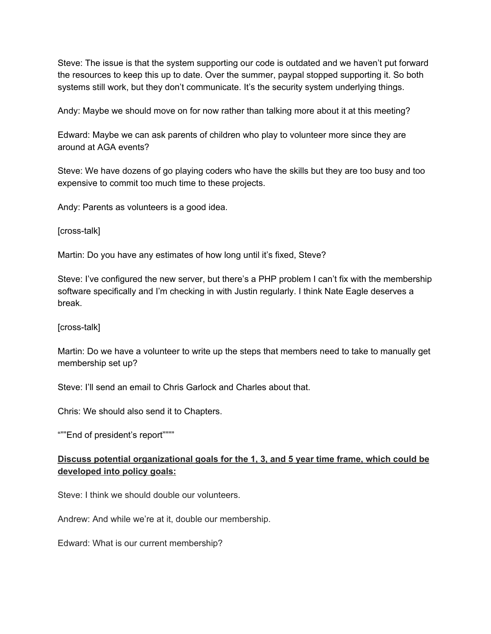Steve: The issue is that the system supporting our code is outdated and we haven't put forward the resources to keep this up to date. Over the summer, paypal stopped supporting it. So both systems still work, but they don't communicate. It's the security system underlying things.

Andy: Maybe we should move on for now rather than talking more about it at this meeting?

Edward: Maybe we can ask parents of children who play to volunteer more since they are around at AGA events?

Steve: We have dozens of go playing coders who have the skills but they are too busy and too expensive to commit too much time to these projects.

Andy: Parents as volunteers is a good idea.

[cross-talk]

Martin: Do you have any estimates of how long until it's fixed, Steve?

Steve: I've configured the new server, but there's a PHP problem I can't fix with the membership software specifically and I'm checking in with Justin regularly. I think Nate Eagle deserves a break.

[cross-talk]

Martin: Do we have a volunteer to write up the steps that members need to take to manually get membership set up?

Steve: I'll send an email to Chris Garlock and Charles about that.

Chris: We should also send it to Chapters.

"""End of president's report""""

# **Discuss potential organizational goals for the 1, 3, and 5 year time frame, which could be developed into policy goals:**

Steve: I think we should double our volunteers.

Andrew: And while we're at it, double our membership.

Edward: What is our current membership?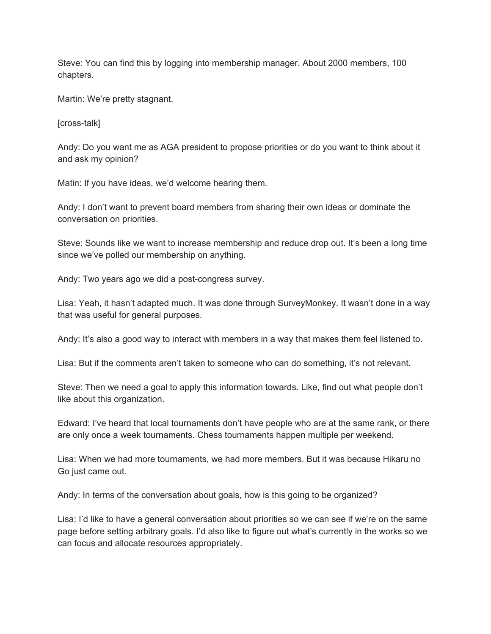Steve: You can find this by logging into membership manager. About 2000 members, 100 chapters.

Martin: We're pretty stagnant.

[cross-talk]

Andy: Do you want me as AGA president to propose priorities or do you want to think about it and ask my opinion?

Matin: If you have ideas, we'd welcome hearing them.

Andy: I don't want to prevent board members from sharing their own ideas or dominate the conversation on priorities.

Steve: Sounds like we want to increase membership and reduce drop out. It's been a long time since we've polled our membership on anything.

Andy: Two years ago we did a post-congress survey.

Lisa: Yeah, it hasn't adapted much. It was done through SurveyMonkey. It wasn't done in a way that was useful for general purposes.

Andy: It's also a good way to interact with members in a way that makes them feel listened to.

Lisa: But if the comments aren't taken to someone who can do something, it's not relevant.

Steve: Then we need a goal to apply this information towards. Like, find out what people don't like about this organization.

Edward: I've heard that local tournaments don't have people who are at the same rank, or there are only once a week tournaments. Chess tournaments happen multiple per weekend.

Lisa: When we had more tournaments, we had more members. But it was because Hikaru no Go just came out.

Andy: In terms of the conversation about goals, how is this going to be organized?

Lisa: I'd like to have a general conversation about priorities so we can see if we're on the same page before setting arbitrary goals. I'd also like to figure out what's currently in the works so we can focus and allocate resources appropriately.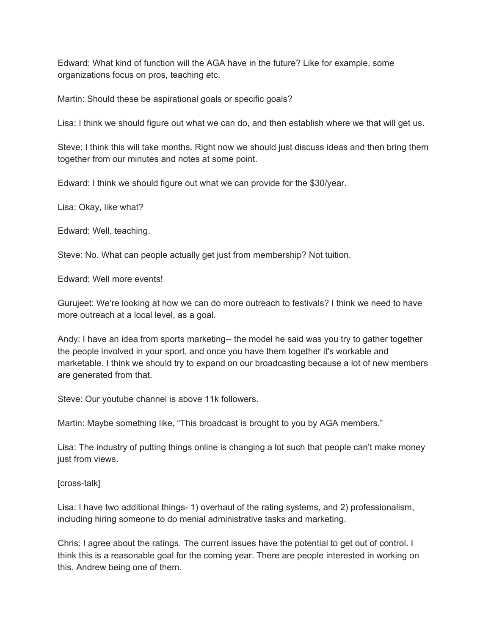Edward: What kind of function will the AGA have in the future? Like for example, some organizations focus on pros, teaching etc.

Martin: Should these be aspirational goals or specific goals?

Lisa: I think we should figure out what we can do, and then establish where we that will get us.

Steve: I think this will take months. Right now we should just discuss ideas and then bring them together from our minutes and notes at some point.

Edward: I think we should figure out what we can provide for the \$30/year.

Lisa: Okay, like what?

Edward: Well, teaching.

Steve: No. What can people actually get just from membership? Not tuition.

Edward: Well more events!

Gurujeet: We're looking at how we can do more outreach to festivals? I think we need to have more outreach at a local level, as a goal.

Andy: I have an idea from sports marketing-- the model he said was you try to gather together the people involved in your sport, and once you have them together it's workable and marketable. I think we should try to expand on our broadcasting because a lot of new members are generated from that.

Steve: Our youtube channel is above 11k followers.

Martin: Maybe something like, "This broadcast is brought to you by AGA members."

Lisa: The industry of putting things online is changing a lot such that people can't make money just from views.

[cross-talk]

Lisa: I have two additional things- 1) overhaul of the rating systems, and 2) professionalism, including hiring someone to do menial administrative tasks and marketing.

Chris: I agree about the ratings. The current issues have the potential to get out of control. I think this is a reasonable goal for the coming year. There are people interested in working on this. Andrew being one of them.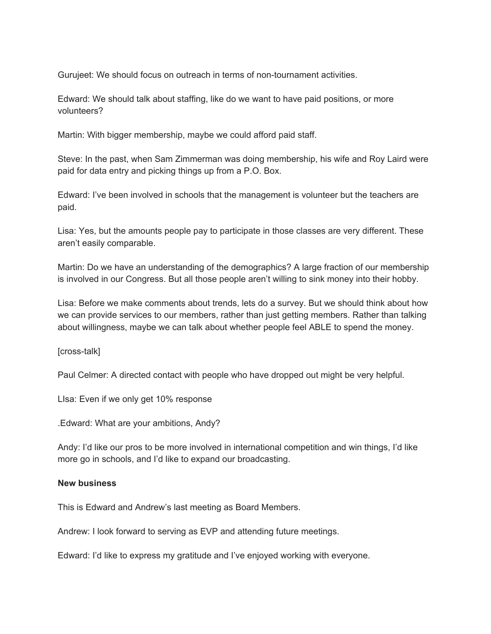Gurujeet: We should focus on outreach in terms of non-tournament activities.

Edward: We should talk about staffing, like do we want to have paid positions, or more volunteers?

Martin: With bigger membership, maybe we could afford paid staff.

Steve: In the past, when Sam Zimmerman was doing membership, his wife and Roy Laird were paid for data entry and picking things up from a P.O. Box.

Edward: I've been involved in schools that the management is volunteer but the teachers are paid.

Lisa: Yes, but the amounts people pay to participate in those classes are very different. These aren't easily comparable.

Martin: Do we have an understanding of the demographics? A large fraction of our membership is involved in our Congress. But all those people aren't willing to sink money into their hobby.

Lisa: Before we make comments about trends, lets do a survey. But we should think about how we can provide services to our members, rather than just getting members. Rather than talking about willingness, maybe we can talk about whether people feel ABLE to spend the money.

[cross-talk]

Paul Celmer: A directed contact with people who have dropped out might be very helpful.

LIsa: Even if we only get 10% response

.Edward: What are your ambitions, Andy?

Andy: I'd like our pros to be more involved in international competition and win things, I'd like more go in schools, and I'd like to expand our broadcasting.

#### **New business**

This is Edward and Andrew's last meeting as Board Members.

Andrew: I look forward to serving as EVP and attending future meetings.

Edward: I'd like to express my gratitude and I've enjoyed working with everyone.